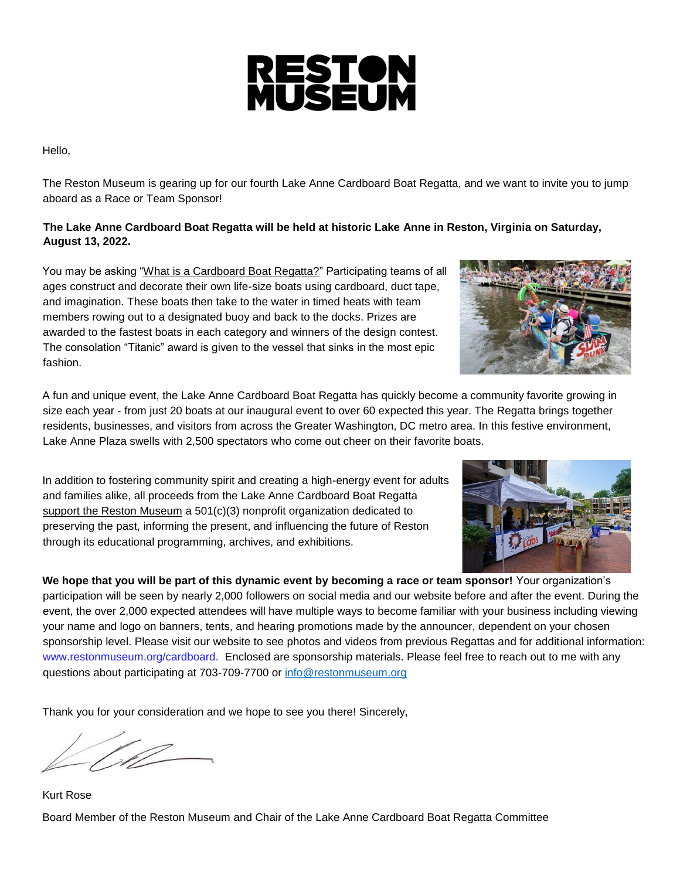

Hello,

The Reston Museum is gearing up for our fourth Lake Anne Cardboard Boat Regatta, and we want to invite you to jump aboard as a Race or Team Sponsor!

#### **The Lake Anne Cardboard Boat Regatta will be held at historic Lake Anne in Reston, Virginia on Saturday, August 13, 2022.**

You may be asking "What is a Cardboard Boat Regatta?" Participating teams of all ages construct and decorate their own life-size boats using cardboard, duct tape, and imagination. These boats then take to the water in timed heats with team members rowing out to a designated buoy and back to the docks. Prizes are awarded to the fastest boats in each category and winners of the design contest. The consolation "Titanic" award is given to the vessel that sinks in the most epic fashion.

A fun and unique event, the Lake Anne Cardboard Boat Regatta has quickly become a community favorite growing in size each year - from just 20 boats at our inaugural event to over 60 expected this year. The Regatta brings together residents, businesses, and visitors from across the Greater Washington, DC metro area. In this festive environment, Lake Anne Plaza swells with 2,500 spectators who come out cheer on their favorite boats.

In addition to fostering community spirit and creating a high-energy event for adults and families alike, all proceeds from the Lake Anne Cardboard Boat Regatta support the Reston Museum a 501(c)(3) nonprofit organization dedicated to preserving the past, informing the present, and influencing the future of Reston through its educational programming, archives, and exhibitions.

**We hope that you will be part of this dynamic event by becoming a race or team sponsor!** Your organization's participation will be seen by nearly 2,000 followers on social media and our website before and after the event. During the event, the over 2,000 expected attendees will have multiple ways to become familiar with your business including viewing your name and logo on banners, tents, and hearing promotions made by the announcer, dependent on your chosen sponsorship level. Please visit our website to see photos and videos from previous Regattas and for additional information: www.restonmuseum.org/cardboard. Enclosed are sponsorship materials. Please feel free to reach out to me with any questions about participating at 703-709-7700 or [info@restonmuseum.org](mailto:info@restonmuseum.org) 

Thank you for your consideration and we hope to see you there! Sincerely,

<u>IP</u>

Kurt Rose Board Member of the Reston Museum and Chair of the Lake Anne Cardboard Boat Regatta Committee



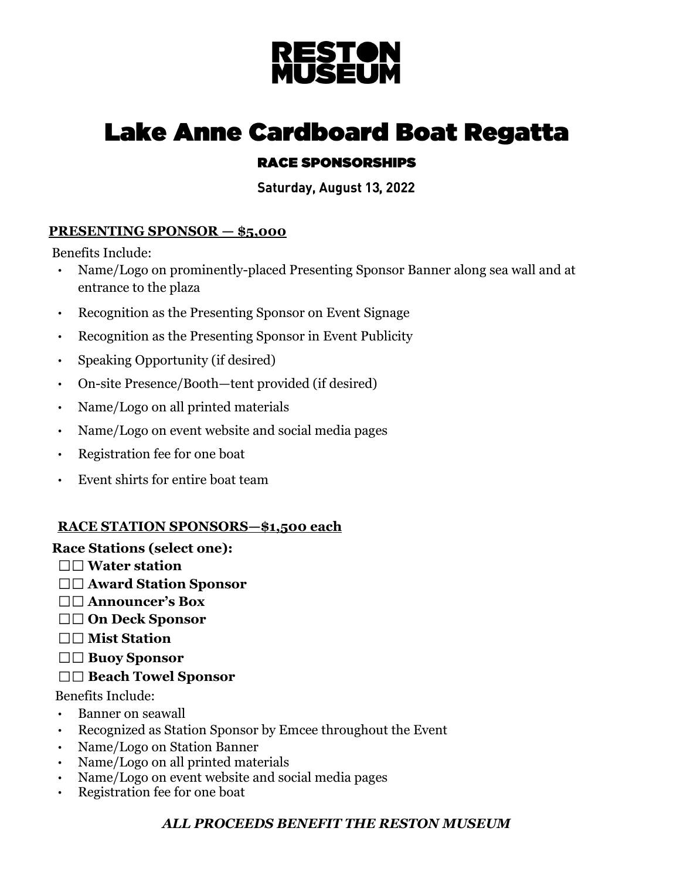

# **Lake Anne Cardboard Boat Regatta**

## **RACE SPONSORSHIPS**

Saturday, August 13, 2022

## **PRESENTING SPONSOR — \$5,000**

Benefits Include:

- Name/Logo on prominently-placed Presenting Sponsor Banner along sea wall and at entrance to the plaza
- Recognition as the Presenting Sponsor on Event Signage
- Recognition as the Presenting Sponsor in Event Publicity
- Speaking Opportunity (if desired)
- On-site Presence/Booth—tent provided (if desired)
- Name/Logo on all printed materials
- Name/Logo on event website and social media pages
- Registration fee for one boat
- Event shirts for entire boat team

## **RACE STATION SPONSORS—\$1,500 each**

#### **Race Stations (select one):**

- **Water station**
- **Award Station Sponsor**
- **Announcer's Box**
- **On Deck Sponsor**
- **Mist Station**
- **Buoy Sponsor**

## **Beach Towel Sponsor**

Benefits Include:

- Banner on seawall
- Recognized as Station Sponsor by Emcee throughout the Event
- Name/Logo on Station Banner
- Name/Logo on all printed materials
- Name/Logo on event website and social media pages
- Registration fee for one boat